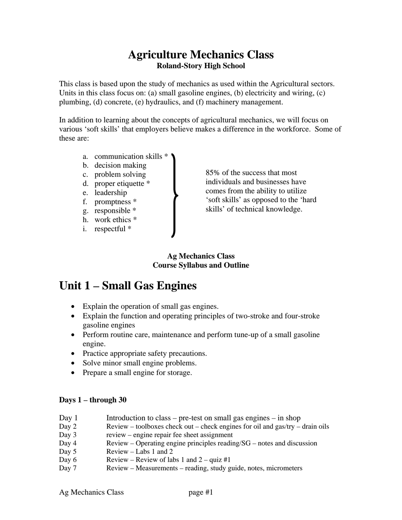### **Agriculture Mechanics Class Roland-Story High School**

This class is based upon the study of mechanics as used within the Agricultural sectors. Units in this class focus on: (a) small gasoline engines, (b) electricity and wiring,  $(c)$ plumbing, (d) concrete, (e) hydraulics, and (f) machinery management.

In addition to learning about the concepts of agricultural mechanics, we will focus on various 'soft skills' that employers believe makes a difference in the workforce. Some of these are:

- a. communication skills \*
- b. decision making
- c. problem solving
- d. proper etiquette \*
- e. leadership
- f. promptness \*
- g. responsible \*
- h. work ethics \*
- i. respectful \*

85% of the success that most individuals and businesses have comes from the ability to utilize 'soft skills' as opposed to the 'hard skills' of technical knowledge.

#### **Ag Mechanics Class Course Syllabus and Outline**

# **Unit 1 – Small Gas Engines**

- Explain the operation of small gas engines.
- Explain the function and operating principles of two-stroke and four-stroke gasoline engines
- Perform routine care, maintenance and perform tune-up of a small gasoline engine.
- Practice appropriate safety precautions.
- Solve minor small engine problems.
- Prepare a small engine for storage.

#### **Days 1 – through 30**

| Day 1 | Introduction to class – pre-test on small gas engines – in shop                 |
|-------|---------------------------------------------------------------------------------|
| Day 2 | $Review - toolboxes check out - check engines for oil and gas/try - drain oils$ |
| Day 3 | review – engine repair fee sheet assignment                                     |
| Day 4 | $Review - Operating$ engine principles reading/ $SG$ – notes and discussion     |
| Day 5 | Review $-$ Labs 1 and 2                                                         |
| Day 6 | Review – Review of labs 1 and $2 - \text{quiz } \# 1$                           |
| Day 7 | Review – Measurements – reading, study guide, notes, micrometers                |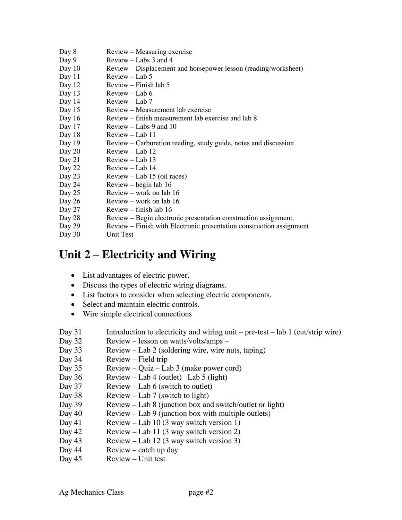- Day 8 Review Measuring exercise Day 9 Review – Labs 3 and 4 Day 10 Review – Displacement and horsepower lesson (reading/worksheet) Day 11 Review – Lab 5 Day 12 Review – Finish lab 5 Day 13 Review – Lab 6 Day 14 Review – Lab 7 Day 15 Review – Measurement lab exercise Day 16 Review – finish measurement lab exercise and lab 8 Day 17 Review – Labs 9 and 10 Day 18 Review – Lab 11 Day 19 Review – Carburetion reading, study guide, notes and discussion Day 20 Review – Lab 12 Day 21 Review – Lab 13 Day 22 Review – Lab 14 Day 23 Review – Lab 15 (oil races) Day 24 Review – begin lab 16 Day 25 Review – work on lab 16 Day 26 Review – work on lab 16 Day 27 Review – finish lab 16 Day 28 Review – Begin electronic presentation construction assignment. Day 29 Review – Finish with Electronic presentation construction assignment
- Day 30 Unit Test

## **Unit 2 – Electricity and Wiring**

- List advantages of electric power.
- Discuss the types of electric wiring diagrams.
- List factors to consider when selecting electric components.
- Select and maintain electric controls.
- Wire simple electrical connections

Day 31 Introduction to electricity and wiring unit – pre-test – lab 1 (cut/strip wire)

- Day 32 Review lesson on watts/volts/amps –
- Day 33 Review Lab 2 (soldering wire, wire nuts, taping)
- Day 34 Review Field trip
- Day 35 Review Quiz Lab 3 (make power cord)
- Day 36 Review Lab 4 (outlet) Lab 5 (light)
- Day 37 Review Lab 6 (switch to outlet)
- Day 38 Review Lab 7 (switch to light)
- Day 39 Review Lab 8 (junction box and switch/outlet or light)
- Day 40 Review Lab 9 (junction box with multiple outlets)
- Day 41 Review Lab 10 (3 way switch version 1)
- Day 42 Review Lab 11 (3 way switch version 2)
- Day 43 Review Lab 12 (3 way switch version 3)
- Day 44 Review catch up day
- Day 45 Review Unit test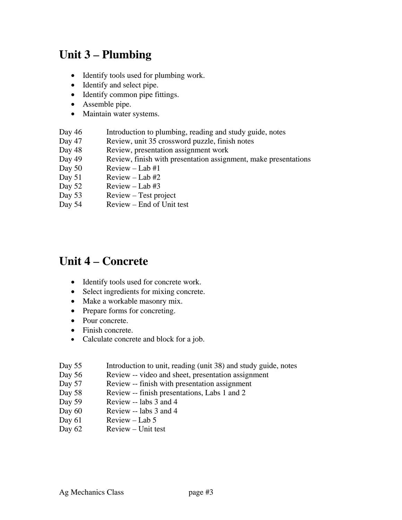# **Unit 3 – Plumbing**

- Identify tools used for plumbing work.
- Identify and select pipe.
- Identify common pipe fittings.
- Assemble pipe.
- Maintain water systems.
- Day 46 Introduction to plumbing, reading and study guide, notes
- Day 47 Review, unit 35 crossword puzzle, finish notes
- Day 48 Review, presentation assignment work
- Day 49 Review, finish with presentation assignment, make presentations
- Day  $50$  Review Lab  $#1$
- Day  $51$  Review Lab  $#2$
- Day  $52$  Review Lab #3
- Day 53 Review Test project
- Day 54 Review End of Unit test

### **Unit 4 – Concrete**

- Identify tools used for concrete work.
- Select ingredients for mixing concrete.
- Make a workable masonry mix.
- Prepare forms for concreting.
- Pour concrete.
- Finish concrete.
- Calculate concrete and block for a job.

| Day 55 |  |  | Introduction to unit, reading (unit 38) and study guide, notes |
|--------|--|--|----------------------------------------------------------------|
|--------|--|--|----------------------------------------------------------------|

- Day 56 Review -- video and sheet, presentation assignment
- Day 57 Review -- finish with presentation assignment
- Day 58 Review -- finish presentations, Labs 1 and 2
- Day 59 Review -- labs 3 and 4
- Day 60 Review -- labs 3 and 4
- Day 61 Review Lab 5
- Day 62 Review Unit test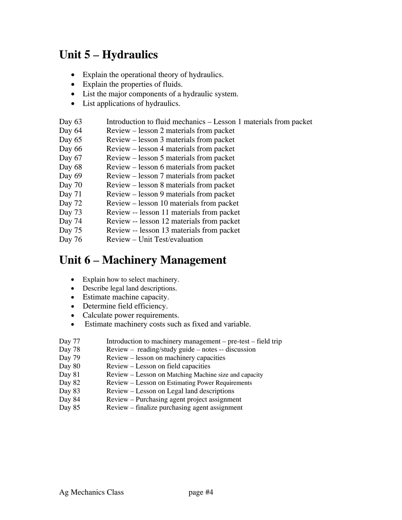# **Unit 5 – Hydraulics**

- Explain the operational theory of hydraulics.
- Explain the properties of fluids.
- List the major components of a hydraulic system.
- List applications of hydraulics.
- Day 63 Introduction to fluid mechanics Lesson 1 materials from packet
- Day 64 Review lesson 2 materials from packet
- Day 65 Review lesson 3 materials from packet
- Day 66 Review lesson 4 materials from packet
- Day 67 Review lesson 5 materials from packet
- Day 68 Review lesson 6 materials from packet
- Day 69 Review lesson 7 materials from packet
- Day 70 Review lesson 8 materials from packet
- Day 71 Review lesson 9 materials from packet
- Day 72 Review lesson 10 materials from packet
- Day 73 Review -- lesson 11 materials from packet
- Day 74 Review -- lesson 12 materials from packet
- Day 75 Review -- lesson 13 materials from packet
- Day 76 Review Unit Test/evaluation

### **Unit 6 – Machinery Management**

- Explain how to select machinery.
- Describe legal land descriptions.
- Estimate machine capacity.
- Determine field efficiency.
- Calculate power requirements.
- Estimate machinery costs such as fixed and variable.
- Day 77 Introduction to machinery management pre-test field trip
- Day 78 Review reading/study guide notes -- discussion
- Day 79 Review lesson on machinery capacities
- Day 80 Review Lesson on field capacities
- Day 81 Review Lesson on Matching Machine size and capacity
- Day 82 Review Lesson on Estimating Power Requirements
- Day 83 Review Lesson on Legal land descriptions
- Day 84 Review Purchasing agent project assignment
- Day 85 Review finalize purchasing agent assignment